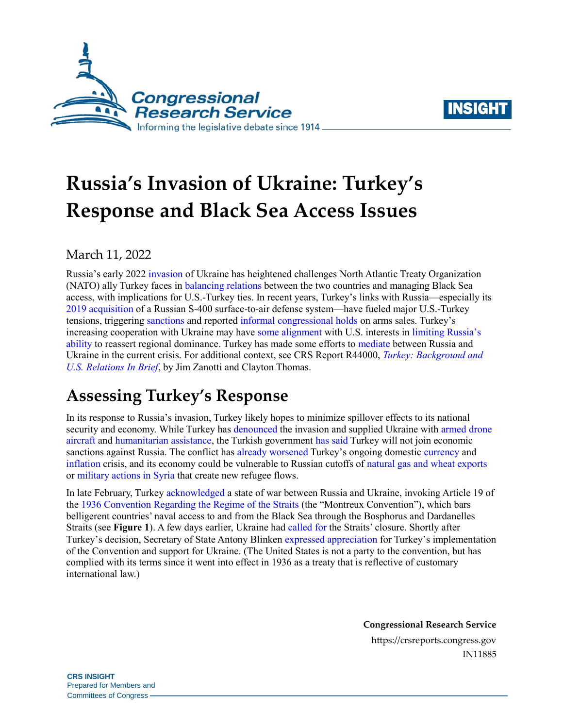



# **Russia's Invasion of Ukraine: Turkey's Response and Black Sea Access Issues**

March 11, 2022

Russia's early 2022 [invasion](https://crsreports.congress.gov/product/pdf/IN/IN11872) of Ukraine has heightened challenges North Atlantic Treaty Organization (NATO) ally Turkey faces in [balancing relations](https://foreignpolicy.com/2022/03/10/turkey-ukraine-russia-war-nato-erdogan/?utm_source=PostUp&utm_medium=email&utm_campaign=Editors%20Picks%20OC&utm_term=40194&tpcc=Editors%20Picks%20OC) between the two countries and managing Black Sea access, with implications for U.S.-Turkey ties. In recent years, Turkey's links with Russia—especially its [2019 acquisition](https://crsreports.congress.gov/product/pdf/R/R44000#_Toc91773205) of a Russian S-400 surface-to-air defense system—have fueled major U.S.-Turkey tensions, triggering [sanctions](https://crsreports.congress.gov/product/pdf/IN/IN11557) and reported [informal congressional holds](https://www.defensenews.com/breaking-news/2020/08/12/congress-has-secretly-blocked-us-arms-sales-to-turkey-for-nearly-two-years/) on arms sales. Turkey's increasing cooperation with Ukraine may have [some alignment](https://warontherocks.com/2021/12/from-ankara-with-implications-turkish-drones-and-alliance-entrapment/) with U.S. interests in limiting [Russia's](https://www.trtworld.com/opinion/the-russo-ukrainian-war-shows-that-t%C3%BCrkiye-remains-an-important-nato-ally-55129)  [ability](https://www.trtworld.com/opinion/the-russo-ukrainian-war-shows-that-t%C3%BCrkiye-remains-an-important-nato-ally-55129) to reassert regional dominance. Turkey has made some efforts to [mediate](https://www.al-monitor.com/originals/2022/03/ukraine-russia-make-no-progress-cease-fire-talks-turkey) between Russia and Ukraine in the current crisis. For additional context, see CRS Report R44000, *[Turkey: Background and](https://crsreports.congress.gov/product/pdf/R/R44000)  [U.S. Relations In Brief](https://crsreports.congress.gov/product/pdf/R/R44000)*, by Jim Zanotti and Clayton Thomas.

## **Assessing Turkey's Response**

In its response to Russia's invasion, Turkey likely hopes to minimize spillover effects to its national security and economy. While Turkey has [denounced](https://www.dailysabah.com/politics/diplomacy/russian-attack-on-ukraine-baseless-unjust-turkeys-un-envoy) the invasion and supplied Ukraine with [armed drone](https://www.thenationalnews.com/world/2022/03/06/ukraine-receives-more-armed-drones-from-turkey-during-russia-crisis/) [aircraft](https://www.thenationalnews.com/world/2022/03/06/ukraine-receives-more-armed-drones-from-turkey-during-russia-crisis/) and [humanitarian](https://www.aa.com.tr/en/russia-ukraine-crisis/turkish-humanitarian-aid-arrives-in-ukraine-moldova/2521391) assistance, the Turkish government has [said](https://www.hurriyetdailynews.com/no-plans-to-impose-sanctions-against-russia-spokesperson-171932) Turkey will not join economic sanctions against Russia. The conflict has [already worsened](https://www.al-monitor.com/originals/2022/03/how-ukraine-crisis-undermines-ankaras-economic-program) Turkey's ongoing domestic [currency](https://crsreports.congress.gov/product/pdf/R/R44000#_Toc91773202) and [inflation](https://www.reuters.com/markets/currencies/turkeys-inflation-surges-5444-highest-20-years-2022-03-03/) crisis, and its economy could be vulnerable to Russian cutoffs of natural gas [and wheat exports](https://www.dw.com/en/how-useful-are-turkish-made-drones-fighting-in-ukraine/a-61035894) or [military actions in Syria](https://www.economist.com/europe/2022/02/24/turkeys-rapprochement-with-russia-may-not-survive-the-war-in-ukraine) that create new refugee flows.

In late February, Turkey [acknowledged](https://www.barrons.com/news/turkey-recognises-russia-ukraine-war-may-block-warships-01645983607) a state of war between Russia and Ukraine, invoking Article 19 of the [1936 Convention Regarding the Regime of the Straits](https://cil.nus.edu.sg/wp-content/uploads/formidable/18/1936-Convention-Regarding-the-Regime-of-the-Straits.pdf) (the "Montreux Convention"), which bars belligerent countries' naval access to and from the Black Sea through the Bosphorus and Dardanelles Straits (see **[Figure 1](#page-1-0)**). A few days earlier, Ukraine had [called](https://www.aljazeera.com/news/2022/2/24/ukraine-asked-turkey-to-close-black-sea-waterways-to-russia) for the Straits' closure. Shortly after Turkey's decision, Secretary of State Antony Blinken [expressed appreciation](https://www.state.gov/secretary-blinkens-call-with-turkish-foreign-minister-cavusoglu-8/#.Yh0meVBv34p.twitter) for Turkey's implementation of the Convention and support for Ukraine. (The United States is not a party to the convention, but has complied with its terms since it went into effect in 1936 as a treaty that is reflective of customary international law.)

**Congressional Research Service**

https://crsreports.congress.gov IN11885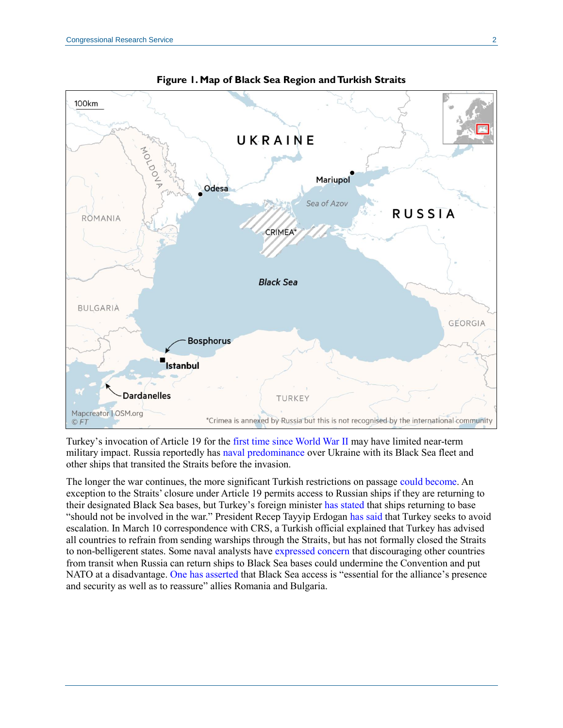<span id="page-1-0"></span>



Turkey's invocation of Article 19 for the [first time since World War II](https://www.forbes.com/sites/jillgoldenziel/2022/03/02/how-turkeys-blocking-russia-from-the-black-sea-harms-neutral-states/?sh=4eac24daaa6d) may have limited near-term military impact. Russia reportedly has [naval predominance](https://www.cnn.com/2022/02/28/middleeast/mideast-summary-02-28-2022-intl/index.html) over Ukraine with its Black Sea fleet and other ships that transited the Straits before the invasion.

The longer the war continues, the more significant Turkish restrictions on passage [could become.](https://www.cnn.com/2022/02/28/middleeast/mideast-summary-02-28-2022-intl/index.html) An exception to the Straits' closure under Article 19 permits access to Russian ships if they are returning to their designated Black Sea bases, but Turkey's foreign minister [has stated](https://www.barrons.com/news/turkey-recognises-russia-ukraine-war-may-block-warships-01645983607) that ships returning to base "should not be involved in the war." President Recep Tayyip Erdogan [has said](https://www.brookings.edu/blog/order-from-chaos/2022/02/28/erdogans-straits-of-indecision-in-the-russia-ukraine-war/) that Turkey seeks to avoid escalation. In March 10 correspondence with CRS, a Turkish official explained that Turkey has advised all countries to refrain from sending warships through the Straits, but has not formally closed the Straits to non-belligerent states. Some naval analysts have [expressed concern](https://www.lawfareblog.com/turkey-must-close-turkish-straits-only-russian-and-ukrainian-warships) that discouraging other countries from transit when Russia can return ships to Black Sea bases could undermine the Convention and put NATO at a disadvantage. [One has asserted](https://foreignpolicy.com/2022/03/01/turkey-black-sea-straits-russia-ships-ukraine-war/) that Black Sea access is "essential for the alliance's presence and security as well as to reassure" allies Romania and Bulgaria.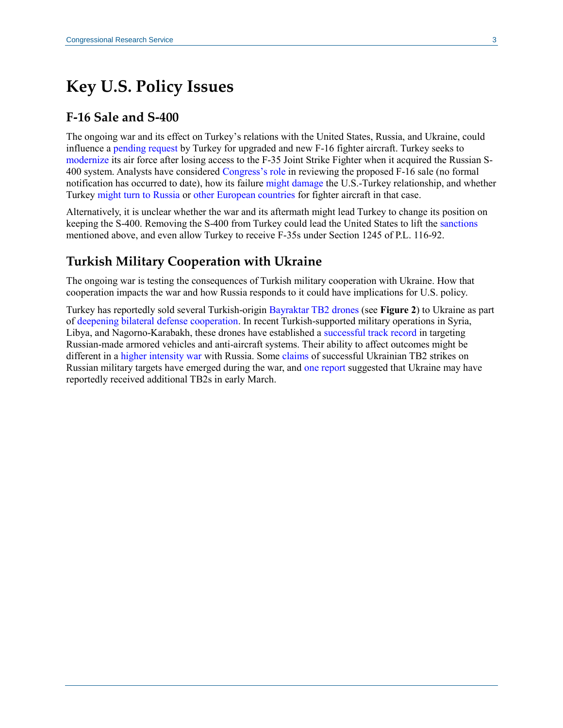### **Key U.S. Policy Issues**

#### **F-16 Sale and S-400**

The ongoing war and its effect on Turkey's relations with the United States, Russia, and Ukraine, could influence a [pending request](https://politicstoday.org/f-16vs-instead-of-f-35s-whats-behind-turkeys-request/) by Turkey for upgraded and new F-16 fighter aircraft. Turkey seeks to [modernize](https://crsreports.congress.gov/product/pdf/R/R44000#_Toc91773207) its air force after losing access to the F-35 Joint Strike Fighter when it acquired the Russian S-400 system. Analysts have considered [Congress's role](https://www.atlanticcouncil.org/blogs/turkeysource/why-turkeys-transatlantic-identity-could-change-forever/?mkt_tok=NjU5LVdaWC0wNzUAAAGBhjAmBLijX10-cae0pvMmMvy_XHdjxfpd3WMoGRvURd9XS7_Q-W75ieLspqgj8Ky1y1WP63FhCZUDk5frRPFEYjX8QpRSSGHDQsI0CcXl) in reviewing the proposed F-16 sale (no formal notification has occurred to date), how its failure [might damage](https://politicstoday.org/f-16vs-instead-of-f-35s-whats-behind-turkeys-request/) the U.S.-Turkey relationship, and whether Turkey [might turn to Russia](https://breakingdefense.com/2021/10/turkeys-fighter-flirtation-with-russia-is-it-serious/) or [other European countries](https://www.defensenews.com/global/europe/2022/03/09/russian-invasion-of-ukraine-is-reviving-euro-turkish-fighter-efforts/) for fighter aircraft in that case.

Alternatively, it is unclear whether the war and its aftermath might lead Turkey to change its position on keeping the S-400. Removing the S-400 from Turkey could lead the United States to lift th[e sanctions](https://crsreports.congress.gov/product/pdf/IN/IN11557) mentioned above, and even allow Turkey to receive F-35s under Section 1245 of [P.L. 116-92.](http://www.congress.gov/cgi-lis/bdquery/R?d116:FLD002:@1(116+92))

#### **Turkish Military Cooperation with Ukraine**

The ongoing war is testing the consequences of Turkish military cooperation with Ukraine. How that cooperation impacts the war and how Russia responds to it could have implications for U.S. policy.

Turkey has reportedly sold several Turkish-origin [Bayraktar TB2 drones](https://crsreports.congress.gov/product/pdf/R/R44000#_Toc91773208) (see **[Figure 2](#page-3-0)**) to Ukraine as part of [deepening bilateral defense cooperation.](https://www.voanews.com/a/6426727.html) In recent Turkish-supported military operations in Syria, Libya, and Nagorno-Karabakh, these drones have established a [successful track record](https://www.washingtoninstitute.org/media/4697) in targeting Russian-made armored vehicles and anti-aircraft systems. Their ability to affect outcomes might be different in a [higher intensity war](https://www.fpri.org/wp-content/uploads/2022/01/turkeys-response-to-the-russia-ukraine-crisis-1.pdf#page=20) with Russia. Some [claims](https://www.militarytimes.com/flashpoints/ukraine/2022/03/01/ukraines-drone-strikes-reveal-russian-planning-failures-expert-says/) of successful Ukrainian TB2 strikes on Russian military targets have emerged during the war, and [one report](https://www.janes.com/defence-news/news-detail/ukraine-conflict-turkey-airlifts-additional-tb2-ucavs-to-ukraine) suggested that Ukraine may have reportedly received additional TB2s in early March.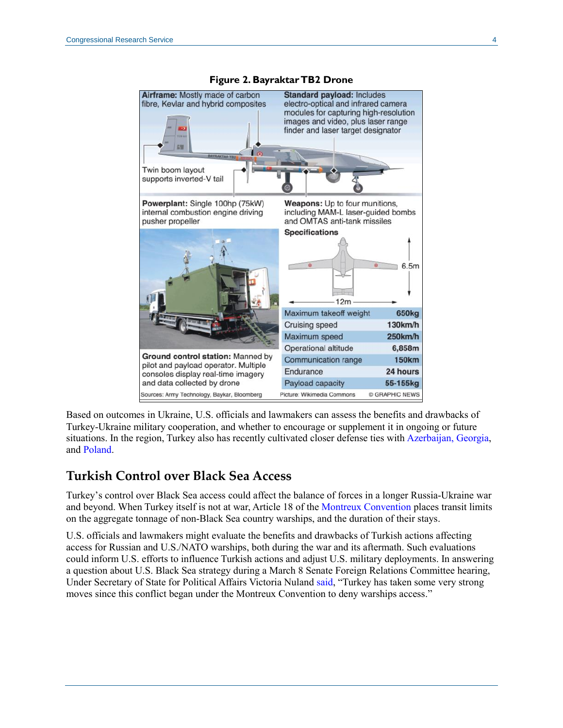<span id="page-3-0"></span>

**Figure 2. Bayraktar TB2 Drone**

Based on outcomes in Ukraine, U.S. officials and lawmakers can assess the benefits and drawbacks of Turkey-Ukraine military cooperation, and whether to encourage or supplement it in ongoing or future situations. In the region, Turkey also has recently cultivated closer defense ties wit[h Azerbaijan, Georgia,](https://www.mei.edu/publications/turkey-nato-ties-are-problematic-there-one-bright-spot) and [Poland.](https://www.dw.com/en/poland-continues-to-draw-eu-nato-ire-over-turkish-drone-purchases/a-57775109)

#### **Turkish Control over Black Sea Access**

Turkey's control over Black Sea access could affect the balance of forces in a longer Russia-Ukraine war and beyond. When Turkey itself is not at war, Article 18 of th[e Montreux Convention](https://cil.nus.edu.sg/wp-content/uploads/formidable/18/1936-Convention-Regarding-the-Regime-of-the-Straits.pdf) places transit limits on the aggregate tonnage of non-Black Sea country warships, and the duration of their stays.

U.S. officials and lawmakers might evaluate the benefits and drawbacks of Turkish actions affecting access for Russian and U.S./NATO warships, both during the war and its aftermath. Such evaluations could inform U.S. efforts to influence Turkish actions and adjust U.S. military deployments. In answering a question about U.S. Black Sea strategy during a March 8 Senate Foreign Relations Committee hearing, Under Secretary of State for Political Affairs Victoria Nuland [said,](https://www.foreign.senate.gov/hearings/watch?hearingid=C2D3CD5F-5056-A066-6084-E7D44DB917B8) "Turkey has taken some very strong moves since this conflict began under the Montreux Convention to deny warships access."